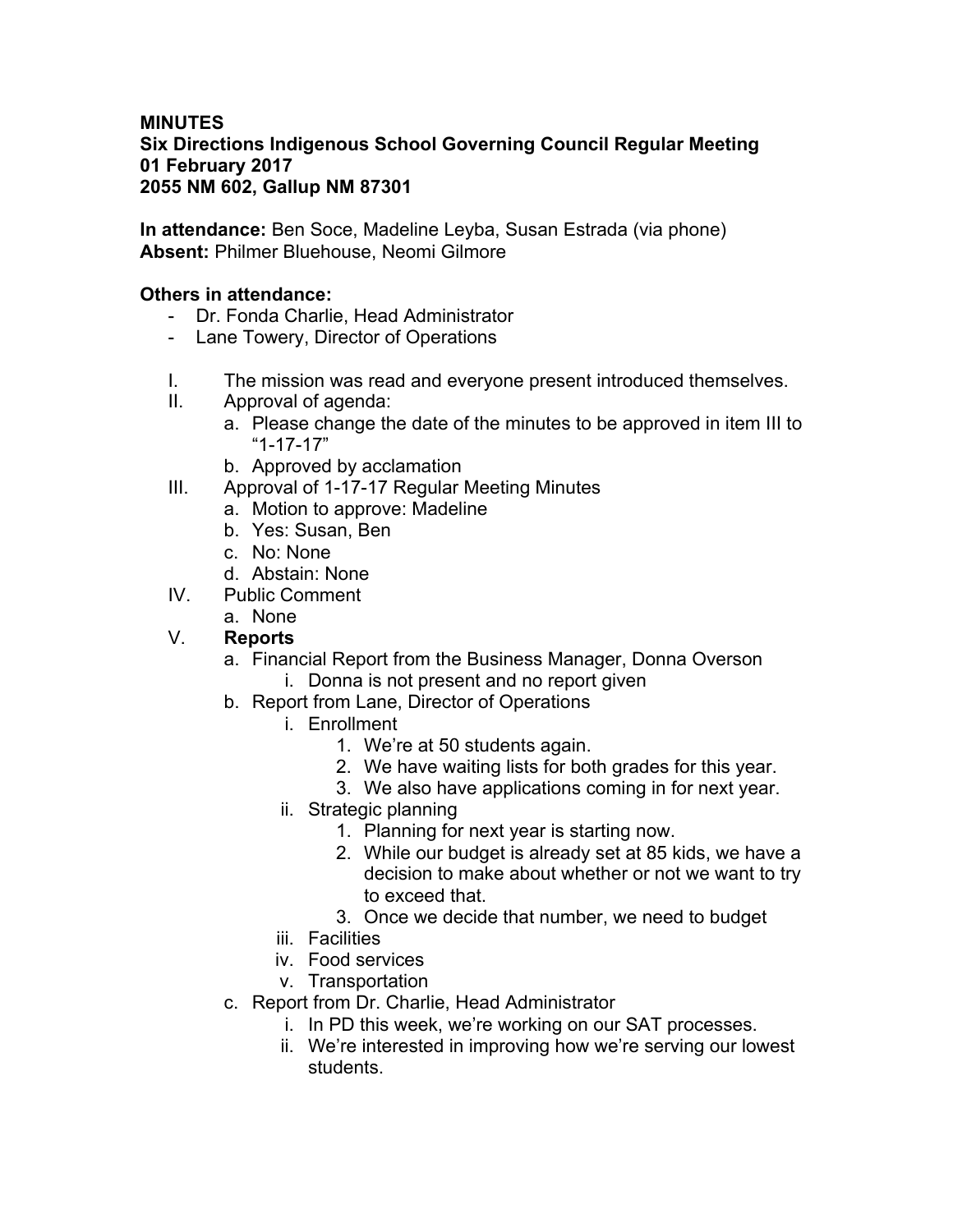## **MINUTES Six Directions Indigenous School Governing Council Regular Meeting 01 February 2017 2055 NM 602, Gallup NM 87301**

**In attendance:** Ben Soce, Madeline Leyba, Susan Estrada (via phone) **Absent:** Philmer Bluehouse, Neomi Gilmore

# **Others in attendance:**

- Dr. Fonda Charlie, Head Administrator
- Lane Towery, Director of Operations
- I. The mission was read and everyone present introduced themselves.
- II. Approval of agenda:
	- a. Please change the date of the minutes to be approved in item III to "1-17-17"
	- b. Approved by acclamation
- III. Approval of 1-17-17 Regular Meeting Minutes
	- a. Motion to approve: Madeline
	- b. Yes: Susan, Ben
	- c. No: None
	- d. Abstain: None
- IV. Public Comment
	- a. None

## V. **Reports**

- a. Financial Report from the Business Manager, Donna Overson
	- i. Donna is not present and no report given
- b. Report from Lane, Director of Operations
	- i. Enrollment
		- 1. We're at 50 students again.
		- 2. We have waiting lists for both grades for this year.
		- 3. We also have applications coming in for next year.
	- ii. Strategic planning
		- 1. Planning for next year is starting now.
		- 2. While our budget is already set at 85 kids, we have a decision to make about whether or not we want to try to exceed that.
		- 3. Once we decide that number, we need to budget
	- iii. Facilities
	- iv. Food services
	- v. Transportation
- c. Report from Dr. Charlie, Head Administrator
	- i. In PD this week, we're working on our SAT processes.
	- ii. We're interested in improving how we're serving our lowest students.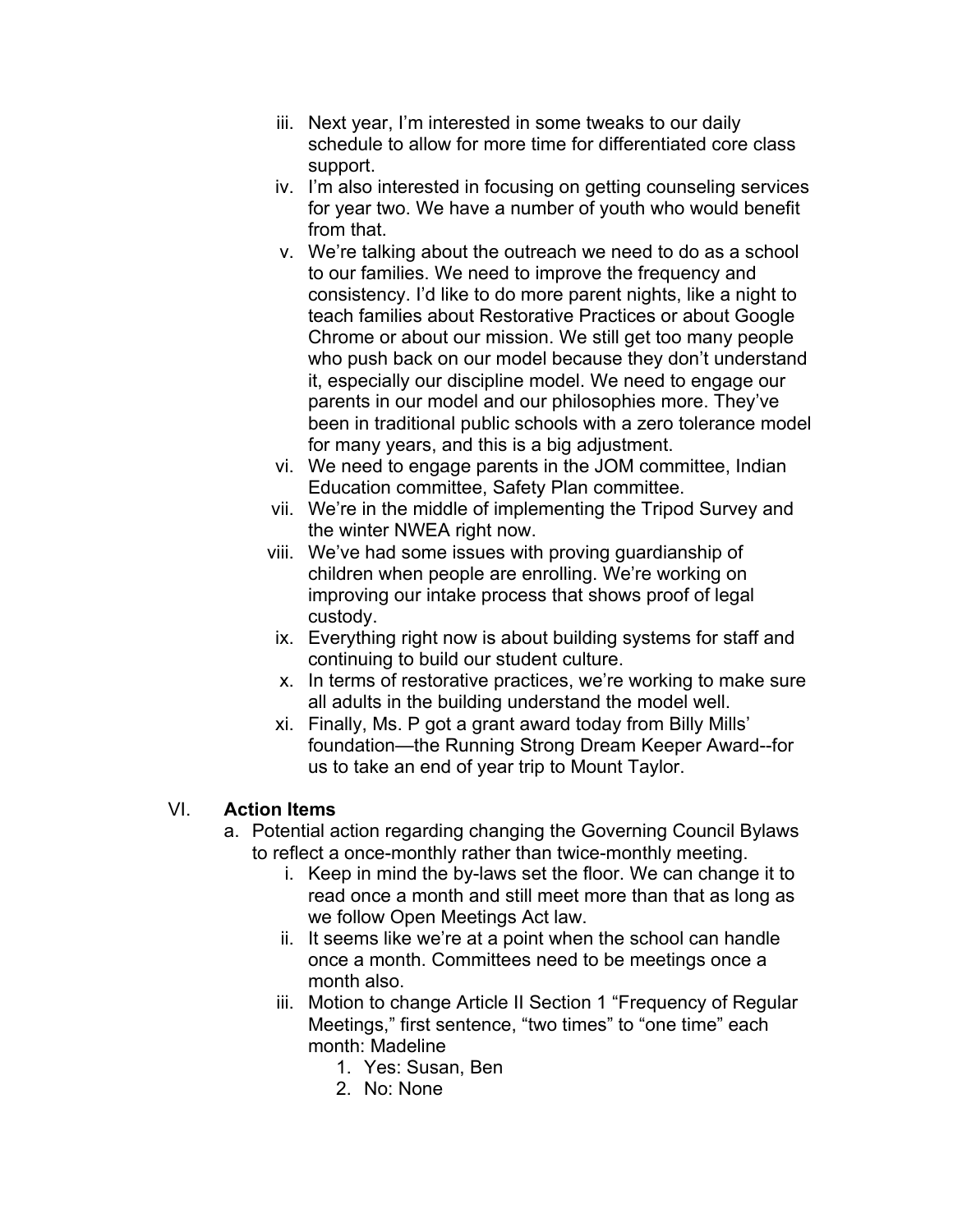- iii. Next year, I'm interested in some tweaks to our daily schedule to allow for more time for differentiated core class support.
- iv. I'm also interested in focusing on getting counseling services for year two. We have a number of youth who would benefit from that.
- v. We're talking about the outreach we need to do as a school to our families. We need to improve the frequency and consistency. I'd like to do more parent nights, like a night to teach families about Restorative Practices or about Google Chrome or about our mission. We still get too many people who push back on our model because they don't understand it, especially our discipline model. We need to engage our parents in our model and our philosophies more. They've been in traditional public schools with a zero tolerance model for many years, and this is a big adjustment.
- vi. We need to engage parents in the JOM committee, Indian Education committee, Safety Plan committee.
- vii. We're in the middle of implementing the Tripod Survey and the winter NWEA right now.
- viii. We've had some issues with proving guardianship of children when people are enrolling. We're working on improving our intake process that shows proof of legal custody.
- ix. Everything right now is about building systems for staff and continuing to build our student culture.
- x. In terms of restorative practices, we're working to make sure all adults in the building understand the model well.
- xi. Finally, Ms. P got a grant award today from Billy Mills' foundation—the Running Strong Dream Keeper Award--for us to take an end of year trip to Mount Taylor.

## VI. **Action Items**

- a. Potential action regarding changing the Governing Council Bylaws to reflect a once-monthly rather than twice-monthly meeting.
	- i. Keep in mind the by-laws set the floor. We can change it to read once a month and still meet more than that as long as we follow Open Meetings Act law.
	- ii. It seems like we're at a point when the school can handle once a month. Committees need to be meetings once a month also.
	- iii. Motion to change Article II Section 1 "Frequency of Regular Meetings," first sentence, "two times" to "one time" each month: Madeline
		- 1. Yes: Susan, Ben
		- 2. No: None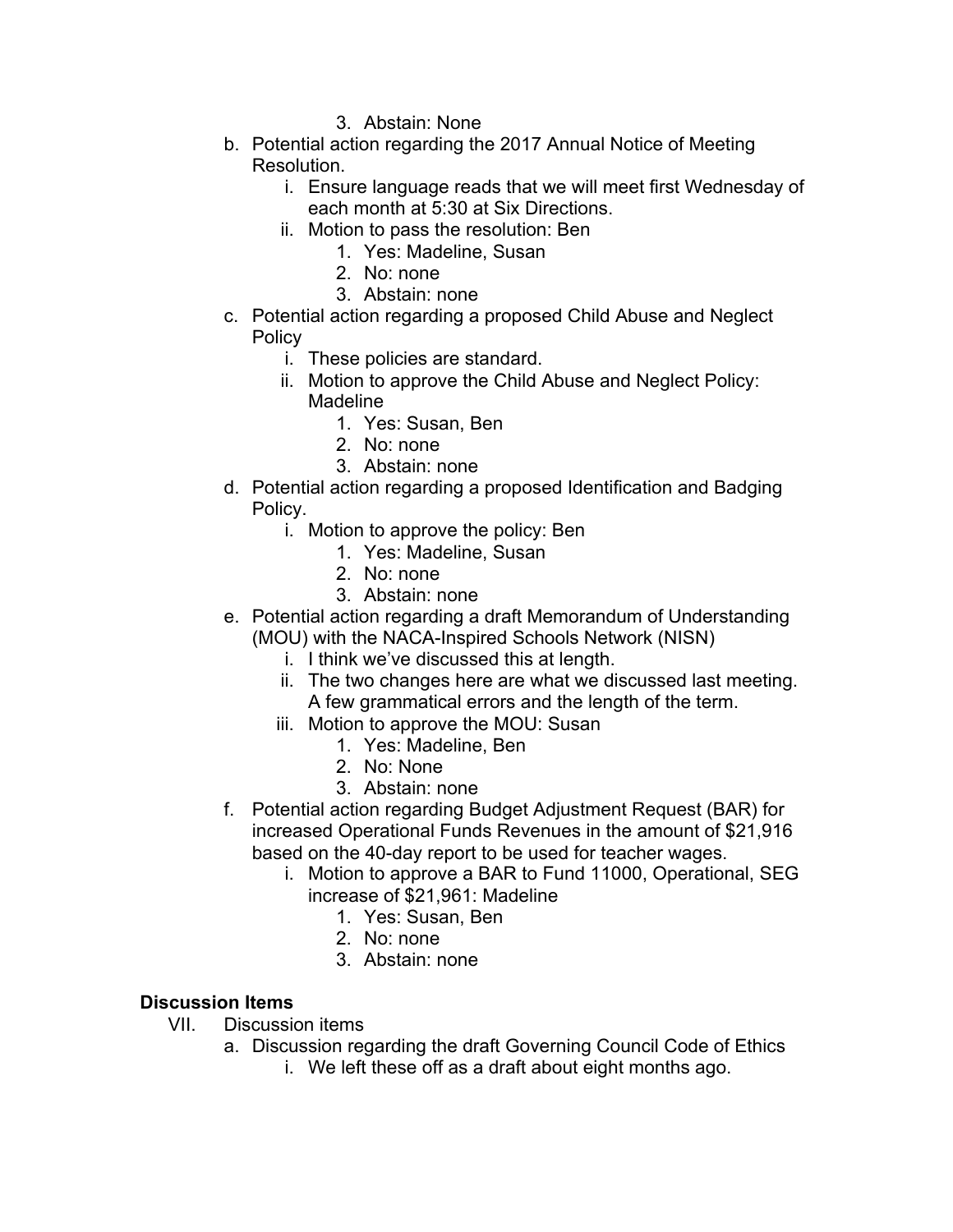- 3. Abstain: None
- b. Potential action regarding the 2017 Annual Notice of Meeting Resolution.
	- i. Ensure language reads that we will meet first Wednesday of each month at 5:30 at Six Directions.
	- ii. Motion to pass the resolution: Ben
		- 1. Yes: Madeline, Susan
		- 2. No: none
		- 3. Abstain: none
- c. Potential action regarding a proposed Child Abuse and Neglect **Policy** 
	- i. These policies are standard.
	- ii. Motion to approve the Child Abuse and Neglect Policy: Madeline
		- 1. Yes: Susan, Ben
		- 2. No: none
		- 3. Abstain: none
- d. Potential action regarding a proposed Identification and Badging Policy.
	- i. Motion to approve the policy: Ben
		- 1. Yes: Madeline, Susan
		- 2. No: none
		- 3. Abstain: none
- e. Potential action regarding a draft Memorandum of Understanding (MOU) with the NACA-Inspired Schools Network (NISN)
	- i. I think we've discussed this at length.
	- ii. The two changes here are what we discussed last meeting. A few grammatical errors and the length of the term.
	- iii. Motion to approve the MOU: Susan
		- 1. Yes: Madeline, Ben
		- 2. No: None
		- 3. Abstain: none
- f. Potential action regarding Budget Adjustment Request (BAR) for increased Operational Funds Revenues in the amount of \$21,916 based on the 40-day report to be used for teacher wages.
	- i. Motion to approve a BAR to Fund 11000, Operational, SEG increase of \$21,961: Madeline
		- 1. Yes: Susan, Ben
		- 2. No: none
		- 3. Abstain: none

## **Discussion Items**

- VII. Discussion items
	- a. Discussion regarding the draft Governing Council Code of Ethics
		- i. We left these off as a draft about eight months ago.